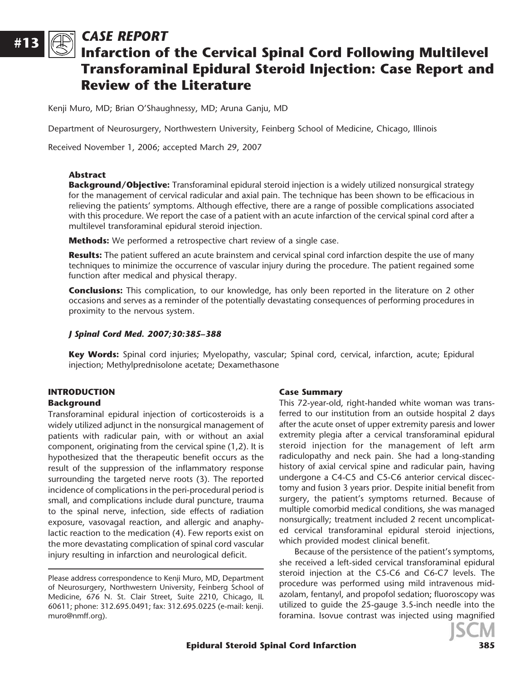# CASE REPORT

# Infarction of the Cervical Spinal Cord Following Multilevel Transforaminal Epidural Steroid Injection: Case Report and Review of the Literature

Kenji Muro, MD; Brian O'Shaughnessy, MD; Aruna Ganju, MD

Department of Neurosurgery, Northwestern University, Feinberg School of Medicine, Chicago, Illinois

Received November 1, 2006; accepted March 29, 2007

#### Abstract

#13

**Background/Objective:** Transforaminal epidural steroid injection is a widely utilized nonsurgical strategy for the management of cervical radicular and axial pain. The technique has been shown to be efficacious in relieving the patients' symptoms. Although effective, there are a range of possible complications associated with this procedure. We report the case of a patient with an acute infarction of the cervical spinal cord after a multilevel transforaminal epidural steroid injection.

**Methods:** We performed a retrospective chart review of a single case.

Results: The patient suffered an acute brainstem and cervical spinal cord infarction despite the use of many techniques to minimize the occurrence of vascular injury during the procedure. The patient regained some function after medical and physical therapy.

**Conclusions:** This complication, to our knowledge, has only been reported in the literature on 2 other occasions and serves as a reminder of the potentially devastating consequences of performing procedures in proximity to the nervous system.

#### J Spinal Cord Med. 2007;30:385–388

Key Words: Spinal cord injuries; Myelopathy, vascular; Spinal cord, cervical, infarction, acute; Epidural injection; Methylprednisolone acetate; Dexamethasone

### INTRODUCTION

#### Background

Transforaminal epidural injection of corticosteroids is a widely utilized adjunct in the nonsurgical management of patients with radicular pain, with or without an axial component, originating from the cervical spine (1,2). It is hypothesized that the therapeutic benefit occurs as the result of the suppression of the inflammatory response surrounding the targeted nerve roots (3). The reported incidence of complications in the peri-procedural period is small, and complications include dural puncture, trauma to the spinal nerve, infection, side effects of radiation exposure, vasovagal reaction, and allergic and anaphylactic reaction to the medication (4). Few reports exist on the more devastating complication of spinal cord vascular injury resulting in infarction and neurological deficit.

#### Case Summary

This 72-year-old, right-handed white woman was transferred to our institution from an outside hospital 2 days after the acute onset of upper extremity paresis and lower extremity plegia after a cervical transforaminal epidural steroid injection for the management of left arm radiculopathy and neck pain. She had a long-standing history of axial cervical spine and radicular pain, having undergone a C4-C5 and C5-C6 anterior cervical discectomy and fusion 3 years prior. Despite initial benefit from surgery, the patient's symptoms returned. Because of multiple comorbid medical conditions, she was managed nonsurgically; treatment included 2 recent uncomplicated cervical transforaminal epidural steroid injections, which provided modest clinical benefit.

Because of the persistence of the patient's symptoms, she received a left-sided cervical transforaminal epidural steroid injection at the C5-C6 and C6-C7 levels. The procedure was performed using mild intravenous midazolam, fentanyl, and propofol sedation; fluoroscopy was utilized to guide the 25-gauge 3.5-inch needle into the foramina. Isovue contrast was injected using magnified



Please address correspondence to Kenji Muro, MD, Department of Neurosurgery, Northwestern University, Feinberg School of Medicine, 676 N. St. Clair Street, Suite 2210, Chicago, IL 60611; phone: 312.695.0491; fax: 312.695.0225 (e-mail: kenji. muro@nmff.org).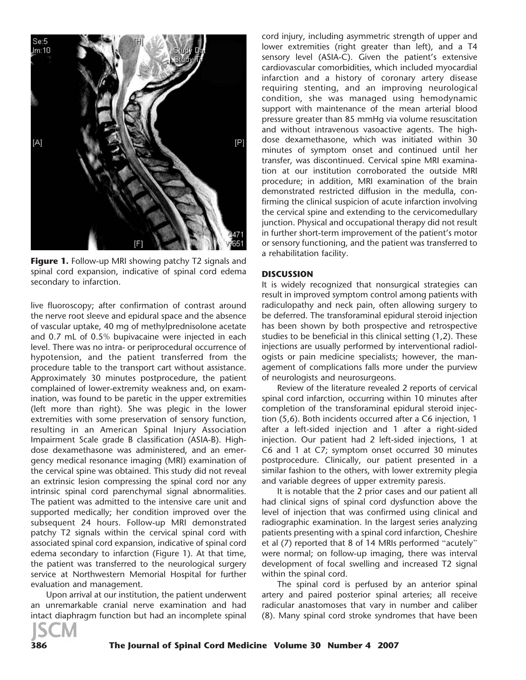

**Figure 1.** Follow-up MRI showing patchy T2 signals and spinal cord expansion, indicative of spinal cord edema secondary to infarction.

live fluoroscopy; after confirmation of contrast around the nerve root sleeve and epidural space and the absence of vascular uptake, 40 mg of methylprednisolone acetate and 0.7 mL of 0.5% bupivacaine were injected in each level. There was no intra- or periprocedural occurrence of hypotension, and the patient transferred from the procedure table to the transport cart without assistance. Approximately 30 minutes postprocedure, the patient complained of lower-extremity weakness and, on examination, was found to be paretic in the upper extremities (left more than right). She was plegic in the lower extremities with some preservation of sensory function, resulting in an American Spinal Injury Association Impairment Scale grade B classification (ASIA-B). Highdose dexamethasone was administered, and an emergency medical resonance imaging (MRI) examination of the cervical spine was obtained. This study did not reveal an extrinsic lesion compressing the spinal cord nor any intrinsic spinal cord parenchymal signal abnormalities. The patient was admitted to the intensive care unit and supported medically; her condition improved over the subsequent 24 hours. Follow-up MRI demonstrated patchy T2 signals within the cervical spinal cord with associated spinal cord expansion, indicative of spinal cord edema secondary to infarction (Figure 1). At that time, the patient was transferred to the neurological surgery service at Northwestern Memorial Hospital for further evaluation and management.

Upon arrival at our institution, the patient underwent an unremarkable cranial nerve examination and had intact diaphragm function but had an incomplete spinal



cord injury, including asymmetric strength of upper and lower extremities (right greater than left), and a T4 sensory level (ASIA-C). Given the patient's extensive cardiovascular comorbidities, which included myocardial infarction and a history of coronary artery disease requiring stenting, and an improving neurological condition, she was managed using hemodynamic support with maintenance of the mean arterial blood pressure greater than 85 mmHg via volume resuscitation and without intravenous vasoactive agents. The highdose dexamethasone, which was initiated within 30 minutes of symptom onset and continued until her transfer, was discontinued. Cervical spine MRI examination at our institution corroborated the outside MRI procedure; in addition, MRI examination of the brain demonstrated restricted diffusion in the medulla, confirming the clinical suspicion of acute infarction involving the cervical spine and extending to the cervicomedullary junction. Physical and occupational therapy did not result in further short-term improvement of the patient's motor or sensory functioning, and the patient was transferred to a rehabilitation facility.

#### **DISCUSSION**

It is widely recognized that nonsurgical strategies can result in improved symptom control among patients with radiculopathy and neck pain, often allowing surgery to be deferred. The transforaminal epidural steroid injection has been shown by both prospective and retrospective studies to be beneficial in this clinical setting (1,2). These injections are usually performed by interventional radiologists or pain medicine specialists; however, the management of complications falls more under the purview of neurologists and neurosurgeons.

Review of the literature revealed 2 reports of cervical spinal cord infarction, occurring within 10 minutes after completion of the transforaminal epidural steroid injection (5,6). Both incidents occurred after a C6 injection, 1 after a left-sided injection and 1 after a right-sided injection. Our patient had 2 left-sided injections, 1 at C6 and 1 at C7; symptom onset occurred 30 minutes postprocedure. Clinically, our patient presented in a similar fashion to the others, with lower extremity plegia and variable degrees of upper extremity paresis.

It is notable that the 2 prior cases and our patient all had clinical signs of spinal cord dysfunction above the level of injection that was confirmed using clinical and radiographic examination. In the largest series analyzing patients presenting with a spinal cord infarction, Cheshire et al (7) reported that 8 of 14 MRIs performed ''acutely'' were normal; on follow-up imaging, there was interval development of focal swelling and increased T2 signal within the spinal cord.

The spinal cord is perfused by an anterior spinal artery and paired posterior spinal arteries; all receive radicular anastomoses that vary in number and caliber (8). Many spinal cord stroke syndromes that have been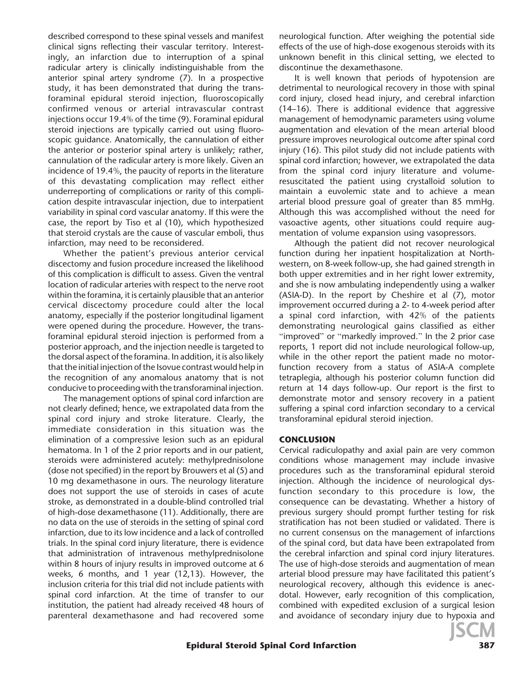described correspond to these spinal vessels and manifest clinical signs reflecting their vascular territory. Interestingly, an infarction due to interruption of a spinal radicular artery is clinically indistinguishable from the anterior spinal artery syndrome (7). In a prospective study, it has been demonstrated that during the transforaminal epidural steroid injection, fluoroscopically confirmed venous or arterial intravascular contrast injections occur 19.4% of the time (9). Foraminal epidural steroid injections are typically carried out using fluoroscopic guidance. Anatomically, the cannulation of either the anterior or posterior spinal artery is unlikely; rather, cannulation of the radicular artery is more likely. Given an incidence of 19.4%, the paucity of reports in the literature of this devastating complication may reflect either underreporting of complications or rarity of this complication despite intravascular injection, due to interpatient variability in spinal cord vascular anatomy. If this were the case, the report by Tiso et al (10), which hypothesized that steroid crystals are the cause of vascular emboli, thus infarction, may need to be reconsidered.

Whether the patient's previous anterior cervical discectomy and fusion procedure increased the likelihood of this complication is difficult to assess. Given the ventral location of radicular arteries with respect to the nerve root within the foramina, it is certainly plausible that an anterior cervical discectomy procedure could alter the local anatomy, especially if the posterior longitudinal ligament were opened during the procedure. However, the transforaminal epidural steroid injection is performed from a posterior approach, and the injection needle is targeted to the dorsal aspect of the foramina. In addition, it is also likely that the initial injection of the Isovue contrast would help in the recognition of any anomalous anatomy that is not conducive to proceeding with the transforaminal injection.

The management options of spinal cord infarction are not clearly defined; hence, we extrapolated data from the spinal cord injury and stroke literature. Clearly, the immediate consideration in this situation was the elimination of a compressive lesion such as an epidural hematoma. In 1 of the 2 prior reports and in our patient, steroids were administered acutely: methylprednisolone (dose not specified) in the report by Brouwers et al (5) and 10 mg dexamethasone in ours. The neurology literature does not support the use of steroids in cases of acute stroke, as demonstrated in a double-blind controlled trial of high-dose dexamethasone (11). Additionally, there are no data on the use of steroids in the setting of spinal cord infarction, due to its low incidence and a lack of controlled trials. In the spinal cord injury literature, there is evidence that administration of intravenous methylprednisolone within 8 hours of injury results in improved outcome at 6 weeks, 6 months, and 1 year (12,13). However, the inclusion criteria for this trial did not include patients with spinal cord infarction. At the time of transfer to our institution, the patient had already received 48 hours of parenteral dexamethasone and had recovered some neurological function. After weighing the potential side effects of the use of high-dose exogenous steroids with its unknown benefit in this clinical setting, we elected to discontinue the dexamethasone.

It is well known that periods of hypotension are detrimental to neurological recovery in those with spinal cord injury, closed head injury, and cerebral infarction (14–16). There is additional evidence that aggressive management of hemodynamic parameters using volume augmentation and elevation of the mean arterial blood pressure improves neurological outcome after spinal cord injury (16). This pilot study did not include patients with spinal cord infarction; however, we extrapolated the data from the spinal cord injury literature and volumeresuscitated the patient using crystalloid solution to maintain a euvolemic state and to achieve a mean arterial blood pressure goal of greater than 85 mmHg. Although this was accomplished without the need for vasoactive agents, other situations could require augmentation of volume expansion using vasopressors.

Although the patient did not recover neurological function during her inpatient hospitalization at Northwestern, on 8-week follow-up, she had gained strength in both upper extremities and in her right lower extremity, and she is now ambulating independently using a walker (ASIA-D). In the report by Cheshire et al (7), motor improvement occurred during a 2- to 4-week period after a spinal cord infarction, with 42% of the patients demonstrating neurological gains classified as either "improved" or "markedly improved." In the 2 prior case reports, 1 report did not include neurological follow-up, while in the other report the patient made no motorfunction recovery from a status of ASIA-A complete tetraplegia, although his posterior column function did return at 14 days follow-up. Our report is the first to demonstrate motor and sensory recovery in a patient suffering a spinal cord infarction secondary to a cervical transforaminal epidural steroid injection.

#### **CONCLUSION**

Cervical radiculopathy and axial pain are very common conditions whose management may include invasive procedures such as the transforaminal epidural steroid injection. Although the incidence of neurological dysfunction secondary to this procedure is low, the consequence can be devastating. Whether a history of previous surgery should prompt further testing for risk stratification has not been studied or validated. There is no current consensus on the management of infarctions of the spinal cord, but data have been extrapolated from the cerebral infarction and spinal cord injury literatures. The use of high-dose steroids and augmentation of mean arterial blood pressure may have facilitated this patient's neurological recovery, although this evidence is anecdotal. However, early recognition of this complication, combined with expedited exclusion of a surgical lesion and avoidance of secondary injury due to hypoxia and